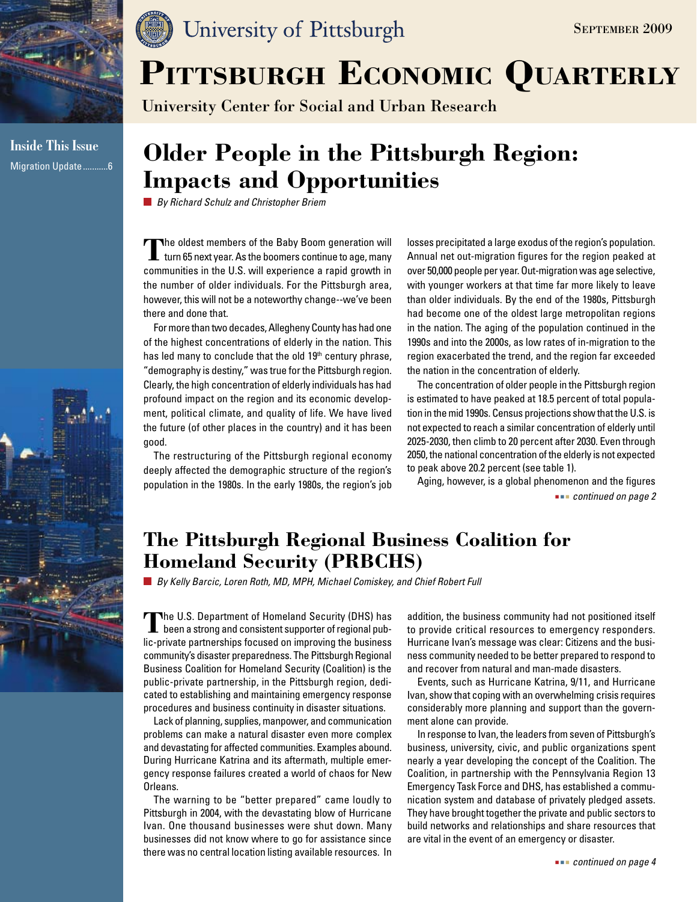

**Inside This Issue** Migration Update...........6

### University of Pittsburgh

# PITTSBURGH ECONOMIC QUARTERLY

University Center for Social and Urban Research

### **Older People in the Pittsburgh Region: Impacts and Opportunities**

*By Richard Schulz and Christopher Briem*

**Th**e oldest members of the Baby Boom generation will<br>turn 65 next year. As the boomers continue to age, many communities in the U.S. will experience a rapid growth in the number of older individuals. For the Pittsburgh area, however, this will not be a noteworthy change--we've been there and done that.

For more than two decades, Allegheny County has had one of the highest concentrations of elderly in the nation. This has led many to conclude that the old 19<sup>th</sup> century phrase, "demography is destiny," was true for the Pittsburgh region. Clearly, the high concentration of elderly individuals has had profound impact on the region and its economic development, political climate, and quality of life. We have lived the future (of other places in the country) and it has been good.

The restructuring of the Pittsburgh regional economy deeply affected the demographic structure of the region's population in the 1980s. In the early 1980s, the region's job losses precipitated a large exodus of the region's population. Annual net out-migration figures for the region peaked at over 50,000 people per year. Out-migration was age selective, with younger workers at that time far more likely to leave than older individuals. By the end of the 1980s, Pittsburgh had become one of the oldest large metropolitan regions in the nation. The aging of the population continued in the 1990s and into the 2000s, as low rates of in-migration to the region exacerbated the trend, and the region far exceeded the nation in the concentration of elderly.

The concentration of older people in the Pittsburgh region is estimated to have peaked at 18.5 percent of total population in the mid 1990s. Census projections show that the U.S. is not expected to reach a similar concentration of elderly until 2025-2030, then climb to 20 percent after 2030. Even through 2050, the national concentration of the elderly is not expected to peak above 20.2 percent (see table 1).

Aging, however, is a global phenomenon and the figures  *continued on page 2*

### **The Pittsburgh Regional Business Coalition for Homeland Security (PRBCHS)**

*By Kelly Barcic, Loren Roth, MD, MPH, Michael Comiskey, and Chief Robert Full*

The U.S. Department of Homeland Security (DHS) has been a strong and consistent supporter of regional public-private partnerships focused on improving the business community's disaster preparedness. The Pittsburgh Regional Business Coalition for Homeland Security (Coalition) is the public-private partnership, in the Pittsburgh region, dedicated to establishing and maintaining emergency response procedures and business continuity in disaster situations.

Lack of planning, supplies, manpower, and communication problems can make a natural disaster even more complex and devastating for affected communities. Examples abound. During Hurricane Katrina and its aftermath, multiple emergency response failures created a world of chaos for New Orleans.

The warning to be "better prepared" came loudly to Pittsburgh in 2004, with the devastating blow of Hurricane Ivan. One thousand businesses were shut down. Many businesses did not know where to go for assistance since there was no central location listing available resources. In addition, the business community had not positioned itself to provide critical resources to emergency responders. Hurricane Ivan's message was clear: Citizens and the business community needed to be better prepared to respond to and recover from natural and man-made disasters.

Events, such as Hurricane Katrina, 9/11, and Hurricane Ivan, show that coping with an overwhelming crisis requires considerably more planning and support than the government alone can provide.

In response to Ivan, the leaders from seven of Pittsburgh's business, university, civic, and public organizations spent nearly a year developing the concept of the Coalition. The Coalition, in partnership with the Pennsylvania Region 13 Emergency Task Force and DHS, has established a communication system and database of privately pledged assets. They have brought together the private and public sectors to build networks and relationships and share resources that are vital in the event of an emergency or disaster.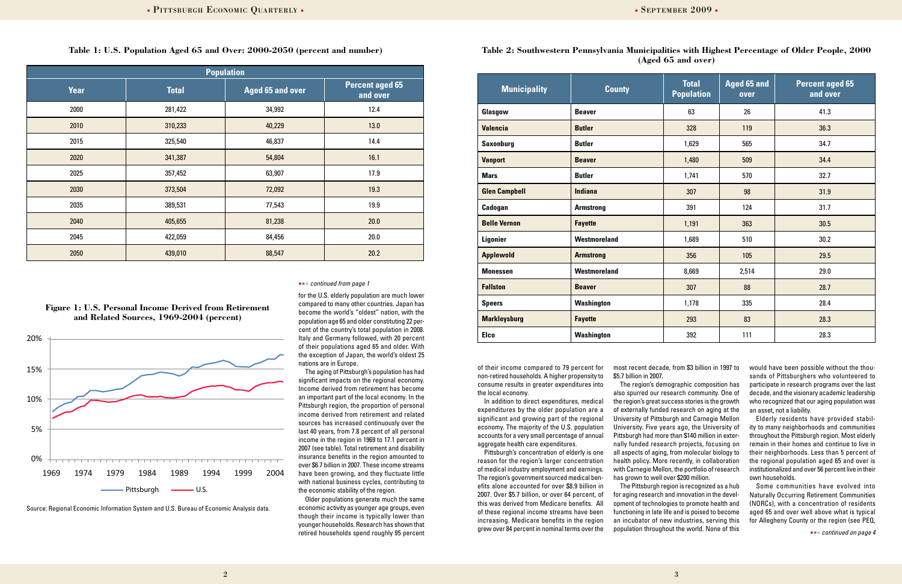for the U.S. elderly population are much lower compared to many other countries. Japan has become the world's "oldest" nation, with the population age 65 and older constituting 22 percent of the country's total population in 2008. Italy and Germany followed, with 20 percent of their populations aged 65 and older. With the exception of Japan, the world's oldest 25 nations are in Europe.

Older populations generate much the same economic activity as younger age groups, even though their income is typically lower than younger households. Research has shown that retired households spend roughly 95 percent and the same of the product of the population infoughout the world. None of this was also were present on page 4

The aging of Pittsburgh's population has had significant impacts on the regional economy. Income derived from retirement has become an important part of the local economy. In the Pittsburgh region, the proportion of personal income derived from retirement and related sources has increased continuously over the last 40 years, from 7.8 percent of all personal income in the region in 1969 to 17.1 percent in 2007 (see table). Total retirement and disability insurance benefits in the region amounted to over \$6.7 billion in 2007. These income streams have been growing, and they fluctuate little with national business cycles, contributing to the economic stability of the region.

#### **Table 1: U.S. Population Aged 65 and Over: 2000-2050 (percent and number)**

| <b>Population</b> |              |                         |                                    |  |  |
|-------------------|--------------|-------------------------|------------------------------------|--|--|
| Year              | <b>Total</b> | <b>Aged 65 and over</b> | <b>Percent aged 65</b><br>and over |  |  |
| 2000              | 281,422      | 34,992                  | 12.4                               |  |  |
| 2010              | 310,233      | 40,229                  | 13.0                               |  |  |
| 2015              | 325,540      | 46,837                  | 14.4                               |  |  |
| 2020              | 341,387      | 54,804                  | 16.1                               |  |  |
| 2025              | 357,452      | 63,907                  | 17.9                               |  |  |
| 2030              | 373,504      | 72,092                  | 19.3                               |  |  |
| 2035              | 389,531      | 77,543                  | 19.9                               |  |  |
| 2040              | 405,655      | 81,238                  | 20.0                               |  |  |
| 2045              | 422,059      | 84,456                  | 20.0                               |  |  |
| 2050              | 439,010      | 88,547                  | 20.2                               |  |  |

**Table 2: Southwestern Pennsylvania Municipalities with Highest Percentage of Older People, 2000 (Aged 65 and over)**

of their income compared to 79 percent for non-retired households. A higher propensity to consume results in greater expenditures into the local economy.

In addition to direct expenditures, medical expenditures by the older population are a significant and growing part of the regional economy. The majority of the U.S. population accounts for a very small percentage of annual aggregate health care expenditures.

Pittsburgh's concentration of elderly is one reason for the region's larger concentration of medical industry employment and earnings. The region's government sourced medical benefits alone accounted for over \$8.9 billion in 2007. Over \$5.7 billion, or over 64 percent, of this was derived from Medicare benefits. All of these regional income streams have been increasing. Medicare benefits in the region grew over 84 percent in nominal terms over the

**Figure 1: U.S. Personal Income Derived from Retirement and Related Sources, 1969-2004 (percent)**



*Compiled from Regional Economic Informa�on System and U.S. Bureau of Economic Analysis data.*  Source: Regional Economic Information System and U.S. Bureau of Economic Analysis data.

| <b>Municipality</b>  | <b>County</b>    | <b>Total</b><br><b>Population</b> | <b>Aged 65 and</b><br>over | <b>Percent aged 65</b><br>and over |
|----------------------|------------------|-----------------------------------|----------------------------|------------------------------------|
| Glasgow              | <b>Beaver</b>    | 63                                | 26                         | 41.3                               |
| <b>Valencia</b>      | <b>Butler</b>    | 328                               | 119                        | 36.3                               |
| <b>Saxonburg</b>     | <b>Butler</b>    | 1,629                             | 565                        | 34.7                               |
| <b>Vanport</b>       | <b>Beaver</b>    | 1,480                             | 509                        | 34.4                               |
| <b>Mars</b>          | <b>Butler</b>    | 1,741                             | 570                        | 32.7                               |
| <b>Glen Campbell</b> | <b>Indiana</b>   | 307                               | 98                         | 31.9                               |
| Cadogan              | <b>Armstrong</b> | 391                               | 124                        | 31.7                               |
| <b>Belle Vernon</b>  | <b>Fayette</b>   | 1,191                             | 363                        | 30.5                               |
| <b>Ligonier</b>      | Westmoreland     | 1,689                             | 510                        | 30.2                               |
| <b>Applewold</b>     | <b>Armstrong</b> | 356                               | 105                        | 29.5                               |
| <b>Monessen</b>      | Westmoreland     | 8,669                             | 2,514                      | 29.0                               |
| <b>Fallston</b>      | <b>Beaver</b>    | 307                               | 88                         | 28.7                               |
| <b>Speers</b>        | Washington       | 1,178                             | 335                        | 28.4                               |
| <b>Markleysburg</b>  | <b>Fayette</b>   | 293                               | 83                         | 28.3                               |
| <b>Elco</b>          | Washington       | 392                               | 111                        | 28.3                               |

most recent decade, from \$3 billion in 1997 to \$5.7 billion in 2007.

The region's demographic composition has also spurred our research community. One of the region's great success stories is the growth of externally funded research on aging at the University of Pittsburgh and Carnegie Mellon University. Five years ago, the University of Pittsburgh had more than \$140 million in externally funded research projects, focusing on all aspects of aging, from molecular biology to health policy. More recently, in collaboration with Carnegie Mellon, the portfolio of research has grown to well over \$200 million.

The Pittsburgh region is recognized as a hub for aging research and innovation in the development of technologies to promote health and functioning in late life and is poised to become an incubator of new industries, serving this population throughout the world. None of this

would have been possible without the thousands of Pittsburghers who volunteered to participate in research programs over the last decade, and the visionary academic leadership who recognized that our aging population was an asset, not a liability.

Elderly residents have provided stability to many neighborhoods and communities throughout the Pittsburgh region. Most elderly remain in their homes and continue to live in their neighborhoods. Less than 5 percent of the regional population aged 65 and over is institutionalized and over 56 percent live in their own households.

Some communities have evolved into Naturally Occurring Retirement Communities (NORCs), with a concentration of residents aged 65 and over well above what is typical for Allegheny County or the region (see PEQ,

#### *continued from page 1*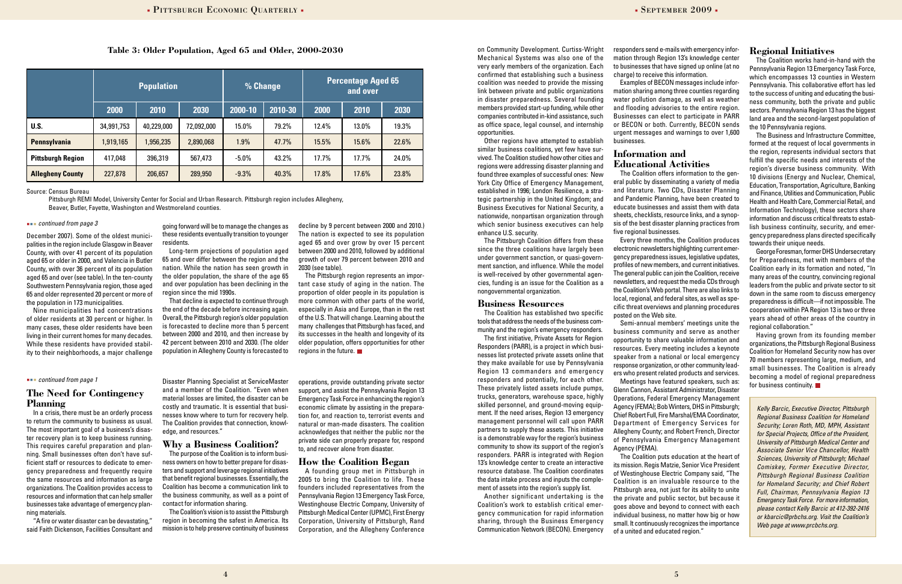#### Table 3: Older Population, Aged 65 and Older, 2000-2030 *Dependent Curtiss-Wright responders send e-mails with emergency infor-* **Regional Initiatives**

#### *continued from page 3*

#### **The Need for Contingency Planning**

In a crisis, there must be an orderly process to return the community to business as usual. The most important goal of a business's disaster recovery plan is to keep business running. This requires careful preparation and planning. Small businesses often don't have sufficient staff or resources to dedicate to emergency preparedness and frequently require the same resources and information as large organizations. The Coalition provides access to resources and information that can help smaller businesses take advantage of emergency planning materials.

"A fire or water disaster can be devastating," said Faith Dickenson, Facilities Consultant and

Disaster Planning Specialist at ServiceMaster and a member of the Coalition. "Even when material losses are limited, the disaster can be costly and traumatic. It is essential that businesses know where to turn for recovery help. The Coalition provides that connection, knowledge, and resources."

#### **Why a Business Coalition?**

The purpose of the Coalition is to inform business owners on how to better prepare for disasters and support and leverage regional initiatives that benefit regional businesses. Essentially, the Coalition has become a communication link to the business community, as well as a point of contact for information sharing.

The Coalition's vision is to assist the Pittsburgh region in becoming the safest in America. Its mission is to help preserve continuity of business

operations, provide outstanding private sector support, and assist the Pennsylvania Region 13 Emergency Task Force in enhancing the region's economic climate by assisting in the preparation for, and reaction to, terrorist events and natural or man-made disasters. The coalition acknowledges that neither the public nor the private side can properly prepare for, respond to, and recover alone from disaster.

#### **How the Coalition Began**

A founding group met in Pittsburgh in 2005 to bring the Coalition to life. These founders included representatives from the Pennsylvania Region 13 Emergency Task Force, Westinghouse Electric Company, University of Pittsburgh Medical Center (UPMC), First Energy Corporation, University of Pittsburgh, Rand Corporation, and the Allegheny Conference

December 2007). Some of the oldest municipalities in the region include Glasgow in Beaver County, with over 41 percent of its population aged 65 or older in 2000, and Valencia in Butler County, with over 36 percent of its population aged 65 and over (see table). In the ten-county Southwestern Pennsylvania region, those aged 65 and older represented 20 percent or more of the population in 173 municipalities.

Nine municipalities had concentrations of older residents at 30 percent or higher. In many cases, these older residents have been living in their current homes for many decades. While these residents have provided stability to their neighborhoods, a major challenge

on Community Development. Curtiss-Wright Mechanical Systems was also one of the very early members of the organization. Each confirmed that establishing such a business coalition was needed to provide the missing link between private and public organizations in disaster preparedness. Several founding members provided start-up funding, while other companies contributed in-kind assistance, such as office space, legal counsel, and internship opportunities.

Other regions have attempted to establish similar business coalitions, yet few have survived. The Coalition studied how other cities and regions were addressing disaster planning and found three examples of successful ones: New York City Office of Emergency Management, established in 1996; London Resilience, a strategic partnership in the United Kingdom; and Business Executives for National Security, a nationwide, nonpartisan organization through which senior business executives can help enhance U.S. security.

The Pittsburgh Coalition differs from these since the three coalitions have largely been under government sanction, or quasi-government sanction, and influence. While the model is well-received by other governmental agencies, funding is an issue for the Coalition as a nongovernmental organization.

#### **Business Resources**

The Coalition has established two specific tools that address the needs of the business community and the region's emergency responders.

The Business and Infrastructure Committee, formed at the request of local governments in the region, represents individual sectors that fulfill the specific needs and interests of the region's diverse business community. With 10 divisions (Energy and Nuclear, Chemical, Education, Transportation, Agriculture, Banking and Finance, Utilities and Communication, Public Health and Health Care, Commercial Retail, and Information Technology), these sectors share information and discuss critical threats to establish business continuity, security, and emergency preparedness plans directed specifically towards their unique needs.

The first initiative, Private Assets for Region Responders (PARR), is a project in which businesses list protected private assets online that they make available for use by Pennsylvania Region 13 commanders and emergency responders and potentially, for each other. These privately listed assets include pumps, trucks, generators, warehouse space, highly skilled personnel, and ground-moving equipment. If the need arises, Region 13 emergency management personnel will call upon PARR partners to supply these assets. This initiative is a demonstrable way for the region's business community to show its support of the region's responders. PARR is integrated with Region 13's knowledge center to create an interactive resource database. The Coalition coordinates the data intake process and inputs the complement of assets into the region's supply list.

Having grown from its founding member organizations, the Pittsburgh Regional Business Coalition for Homeland Security now has over 70 members representing large, medium, and small businesses. The Coalition is already becoming a model of regional preparedness for business continuity.

Another significant undertaking is the Coalition's work to establish critical emergency communication for rapid information sharing, through the Business Emergency Communication Network (BECON). Emergency

responders send e-mails with emergency information through Region 13's knowledge center to businesses that have signed up online (at no charge) to receive this information.

Examples of BECON messages include information sharing among three counties regarding water pollution damage, as well as weather and flooding advisories to the entire region. Businesses can elect to participate in PARR or BECON or both. Currently, BECON sends urgent messages and warnings to over 1,600 businesses.

#### **Information and Educational Activities**

The Coalition offers information to the general public by disseminating a variety of media and literature. Two CDs, Disaster Planning and Pandemic Planning, have been created to educate businesses and assist them with data sheets, checklists, resource links, and a synopsis of the best disaster planning practices from five regional businesses.

Every three months, the Coalition produces electronic newsletters highlighting current emergency preparedness issues, legislative updates, profiles of new members, and current initiatives. The general public can join the Coalition, receive newsletters, and request the media CDs through the Coalition's Web portal. There are also links to local, regional, and federal sites, as well as specific threat overviews and planning procedures posted on the Web site.

Semi-annual members' meetings unite the Meetings have featured speakers, such as:

business community and serve as another opportunity to share valuable information and resources. Every meeting includes a keynote speaker from a national or local emergency response organization, or other community leaders who present related products and services. Glenn Cannon, Assistant Administrator, Disaster Operations, Federal Emergency Management Agency (FEMA); Bob Winters, DHS in Pittsburgh; Chief Robert Full, Fire Marshal/EMA Coordinator, Department of Emergency Services for Allegheny County; and Robert French, Director of Pennsylvania Emergency Management Agency (PEMA).

The Coalition puts education at the heart of its mission. Regis Matzie, Senior Vice President of Westinghouse Electric Company said, "The Coalition is an invaluable resource to the Pittsburgh area, not just for its ability to unite the private and public sector, but because it goes above and beyond to connect with each individual business, no matter how big or how small. It continuously recognizes the importance of a united and educated region."

|                          |            | <b>Population</b> |            | % Change |         |       | <b>Percentage Aged 65</b><br>and over |       |
|--------------------------|------------|-------------------|------------|----------|---------|-------|---------------------------------------|-------|
|                          | 2000       | 2010              | 2030       | 2000-10  | 2010-30 | 2000  | 2010                                  | 2030  |
| U.S.                     | 34,991,753 | 40,229,000        | 72,092,000 | 15.0%    | 79.2%   | 12.4% | 13.0%                                 | 19.3% |
| Pennsylvania             | 1,919,165  | 1,956,235         | 2,890,068  | 1.9%     | 47.7%   | 15.5% | 15.6%                                 | 22.6% |
| <b>Pittsburgh Region</b> | 417,048    | 396,319           | 567,473    | $-5.0\%$ | 43.2%   | 17.7% | 17.7%                                 | 24.0% |
| <b>Allegheny County</b>  | 227,878    | 206,657           | 289,950    | $-9.3%$  | 40.3%   | 17.8% | 17.6%                                 | 23.8% |

Source: Census Bureau

Pittsburgh REMI Model, University Center for Social and Urban Research. Pittsburgh region includes Allegheny, Beaver, Butler, Fayette, Washington and Westmoreland counties.

The Coalition works hand-in-hand with the Pennsylvania Region 13 Emergency Task Force, which encompasses 13 counties in Western Pennsylvania. This collaborative effort has led to the success of uniting and educating the business community, both the private and public sectors. Pennsylvania Region 13 has the biggest land area and the second-largest population of the 10 Pennsylvania regions.

George Foresman, former DHS Undersecretary for Preparedness, met with members of the Coalition early in its formation and noted, "In many areas of the country, convincing regional leaders from the public and private sector to sit down in the same room to discuss emergency preparedness is difficult—if not impossible. The cooperation within PA Region 13 is two or three years ahead of other areas of the country in regional collaboration."

going forward will be to manage the changes as these residents eventually transition to younger residents.

Long-term projections of population aged 65 and over differ between the region and the nation. While the nation has seen growth in the older population, the share of the age 65 and over population has been declining in the region since the mid 1990s.

That decline is expected to continue through the end of the decade before increasing again. Overall, the Pittsburgh region's older population is forecasted to decline more than 5 percent between 2000 and 2010, and then increase by 42 percent between 2010 and 2030. (The older population in Allegheny County is forecasted to decline by 9 percent between 2000 and 2010.) The nation is expected to see its population aged 65 and over grow by over 15 percent between 2000 and 2010, followed by additional growth of over 79 percent between 2010 and

2030 (see table).

regions in the future.  $\blacksquare$ 

The Pittsburgh region represents an important case study of aging in the nation. The proportion of older people in its population is more common with other parts of the world, especially in Asia and Europe, than in the rest of the U.S. That will change. Learning about the many challenges that Pittsburgh has faced, and its successes in the health and longevity of its older population, offers opportunities for other

#### *continued from page 1*

*Kelly Barcic, Executive Director, Pittsburgh Regional Business Coalition for Homeland Security; Loren Roth, MD, MPH, Assistant for Special Projects, Office of the President, University of Pittsburgh Medical Center and Associate Senior Vice Chancellor, Health Sciences, University of Pittsburgh; Michael Comiskey, Former Executive Director, Pittsburgh Regional Business Coalition for Homeland Security; and Chief Robert Full, Chairman, Pennsylvania Region 13 Emergency Task Force. For more information, please contact Kelly Barcic at 412-392-2416 or kbarcic@prbchs.org. Visit the Coalition's Web page at www.prcbchs.org.*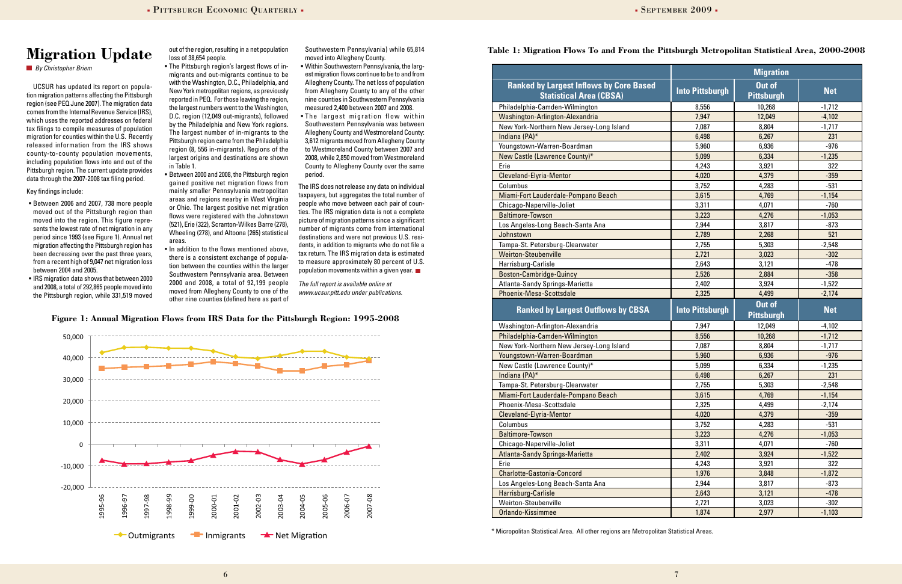6

UCSUR has updated its report on population migration patterns affecting the Pittsburgh region (see PEQ June 2007). The migration data comes from the Internal Revenue Service (IRS), which uses the reported addresses on federal tax filings to compile measures of population migration for counties within the U.S. Recently released information from the IRS shows county-to-county population movements, including population flows into and out of the Pittsburgh region. The current update provides data through the 2007-2008 tax filing period.

#### Key findings include:

- • Between 2006 and 2007, 738 more people moved out of the Pittsburgh region than moved into the region. This figure represents the lowest rate of net migration in any period since 1993 (see Figure 1). Annual net migration affecting the Pittsburgh region has been decreasing over the past three years, from a recent high of 9,047 net migration loss between 2004 and 2005.
- IRS migration data shows that between 2000 and 2008, a total of 292,865 people moved into the Pittsburgh region, while 331,519 moved

out of the region, resulting in a net population loss of 38,654 people.

- The Pittsburgh region's largest flows of inmigrants and out-migrants continue to be with the Washington, D.C., Philadelphia, and New York metropolitan regions, as previously reported in PEQ. For those leaving the region, the largest numbers went to the Washington, D.C. region (12,049 out-migrants), followed by the Philadelphia and New York regions. The largest number of in-migrants to the Pittsburgh region came from the Philadelphia region (8, 556 in-migrants). Regions of the largest origins and destinations are shown in Table 1.
- Between 2000 and 2008, the Pittsburgh region gained positive net migration flows from mainly smaller Pennsylvania metropolitan areas and regions nearby in West Virginia or Ohio. The largest positive net migration flows were registered with the Johnstown (521), Erie (322), Scranton-Wilkes Barre (278), Wheeling (278), and Altoona (265) statistical areas.
- In addition to the flows mentioned above, there is a consistent exchange of population between the counties within the larger Southwestern Pennsylvania area. Between 2000 and 2008, a total of 92,199 people moved from Allegheny County to one of the other nine counties (defined here as part of

Southwestern Pennsylvania) while 65,814 moved into Allegheny County.

- • Within Southwestern Pennsylvania, the largest migration flows continue to be to and from Allegheny County. The net loss of population from Allegheny County to any of the other nine counties in Southwestern Pennsylvania measured 2,400 between 2007 and 2008.
- The largest migration flow within Southwestern Pennsylvania was between Allegheny County and Westmoreland County: 3,612 migrants moved from Allegheny County to Westmoreland County between 2007 and 2008, while 2,850 moved from Westmoreland County to Allegheny County over the same period.

The IRS does not release any data on individual taxpayers, but aggregates the total number of people who move between each pair of counties. The IRS migration data is not a complete picture of migration patterns since a significant number of migrants come from international destinations and were not previous U.S. residents, in addition to migrants who do not file a tax return. The IRS migration data is estimated to measure approximately 80 percent of U.S. population movements within a given year.

*The full report is available online at www.ucsur.pitt.edu under publications.*

### **Migration Update**

*By Christopher Briem*

#### **Table 1: Migration Flows To and From the Pittsburgh Metropolitan Statistical Area, 2000-2008**



|                                                                                  | <b>Migration</b>       |                                    |            |
|----------------------------------------------------------------------------------|------------------------|------------------------------------|------------|
| <b>Ranked by Largest Inflows by Core Based</b><br><b>Statistical Area (CBSA)</b> | <b>Into Pittsburgh</b> | <b>Out of</b><br><b>Pittsburgh</b> | <b>Net</b> |
| Philadelphia-Camden-Wilmington                                                   | 8,556                  | 10,268                             | $-1,712$   |
| Washington-Arlington-Alexandria                                                  | 7,947                  | 12,049                             | $-4,102$   |
| New York-Northern New Jersey-Long Island                                         | 7,087                  | 8,804                              | $-1,717$   |
| Indiana (PA)*                                                                    | 6,498                  | 6,267                              | 231        |
| Youngstown-Warren-Boardman                                                       | 5,960                  | 6,936                              | $-976$     |
| New Castle (Lawrence County)*                                                    | 5,099                  | 6,334                              | $-1,235$   |
| Erie                                                                             | 4,243                  | 3,921                              | 322        |
| Cleveland-Elyria-Mentor                                                          | 4,020                  | 4,379                              | $-359$     |
| Columbus                                                                         | 3,752                  | 4,283                              | $-531$     |
| Miami-Fort Lauderdale-Pompano Beach                                              | 3,615                  | 4,769                              | $-1,154$   |
| Chicago-Naperville-Joliet                                                        | 3,311                  | 4,071                              | $-760$     |
| <b>Baltimore-Towson</b>                                                          | 3,223                  | 4,276                              | $-1,053$   |
| Los Angeles-Long Beach-Santa Ana                                                 | 2,944                  | 3,817                              | $-873$     |
| Johnstown                                                                        | 2,789                  | 2,268                              | 521        |
| Tampa-St. Petersburg-Clearwater                                                  | 2,755                  | 5,303                              | $-2,548$   |
| <b>Weirton-Steubenville</b>                                                      | 2,721                  | 3,023                              | $-302$     |
| Harrisburg-Carlisle                                                              | 2,643                  | 3,121                              | $-478$     |
| Boston-Cambridge-Quincy                                                          | 2,526                  | 2,884                              | $-358$     |
| Atlanta-Sandy Springs-Marietta                                                   | 2,402                  | 3,924                              | $-1,522$   |
| Phoenix-Mesa-Scottsdale                                                          | 2,325                  | 4,499                              | $-2,174$   |
| <b>Ranked by Largest Outflows by CBSA</b>                                        | <b>Into Pittsburgh</b> | Out of<br><b>Pittsburgh</b>        | <b>Net</b> |
| Washington-Arlington-Alexandria                                                  | 7,947                  | 12,049                             | $-4,102$   |
| Philadelphia-Camden-Wilmington                                                   | 8,556                  | 10,268                             | $-1,712$   |
| New York-Northern New Jersey-Long Island                                         | 7,087                  | 8,804                              | $-1,717$   |
| Youngstown-Warren-Boardman                                                       | 5,960                  | 6,936                              | $-976$     |
| New Castle (Lawrence County)*                                                    | 5,099                  | 6,334                              | $-1,235$   |
| Indiana (PA)*                                                                    | 6,498                  | 6,267                              | 231        |
| Tampa-St. Petersburg-Clearwater                                                  | 2,755                  | 5,303                              | $-2,548$   |
| Miami-Fort Lauderdale-Pompano Beach                                              | 3,615                  | 4,769                              | $-1,154$   |
| Phoenix-Mesa-Scottsdale                                                          | 2,325                  | 4,499                              | $-2,174$   |
| Cleveland-Elyria-Mentor                                                          | 4,020                  | 4,379                              | $-359$     |
| Columbus                                                                         | 3,752                  | 4,283                              | $-531$     |
| <b>Baltimore-Towson</b>                                                          | 3,223                  | 4,276                              | $-1,053$   |
| Chicago-Naperville-Joliet                                                        | 3,311                  | 4,071                              | $-760$     |
| Atlanta-Sandy Springs-Marietta                                                   | 2,402                  | 3,924                              | $-1,522$   |
| Erie                                                                             | 4,243                  | 3,921                              | 322        |
| <b>Charlotte-Gastonia-Concord</b>                                                | 1,976                  | 3,848                              | $-1,872$   |
| Los Angeles-Long Beach-Santa Ana                                                 | 2,944                  | 3,817                              | $-873$     |
| Harrisburg-Carlisle                                                              | 2,643                  | 3,121                              | $-478$     |
| Weirton-Steubenville                                                             | 2,721                  | 3,023                              | $-302$     |
| Orlando-Kissimmee                                                                | 1,874                  | 2,977                              | $-1,103$   |

\* Micropolitan Statistical Area. All other regions are Metropolitan Statistical Areas.